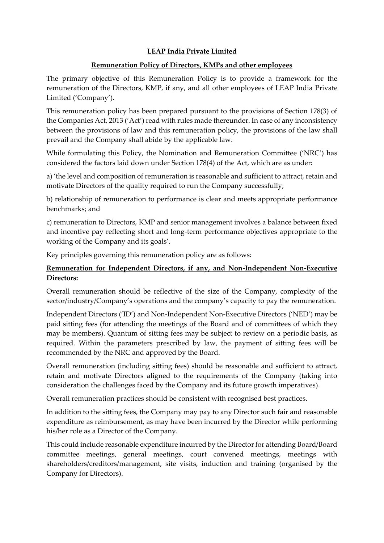# **LEAP India Private Limited**

# **Remuneration Policy of Directors, KMPs and other employees**

The primary objective of this Remuneration Policy is to provide a framework for the remuneration of the Directors, KMP, if any, and all other employees of LEAP India Private Limited ('Company').

This remuneration policy has been prepared pursuant to the provisions of Section 178(3) of the Companies Act, 2013 ('Act') read with rules made thereunder. In case of any inconsistency between the provisions of law and this remuneration policy, the provisions of the law shall prevail and the Company shall abide by the applicable law.

While formulating this Policy, the Nomination and Remuneration Committee ('NRC') has considered the factors laid down under Section 178(4) of the Act, which are as under:

a) 'the level and composition of remuneration is reasonable and sufficient to attract, retain and motivate Directors of the quality required to run the Company successfully;

b) relationship of remuneration to performance is clear and meets appropriate performance benchmarks; and

c) remuneration to Directors, KMP and senior management involves a balance between fixed and incentive pay reflecting short and long-term performance objectives appropriate to the working of the Company and its goals'.

Key principles governing this remuneration policy are as follows:

# **Remuneration for Independent Directors, if any, and Non-Independent Non-Executive Directors:**

Overall remuneration should be reflective of the size of the Company, complexity of the sector/industry/Company's operations and the company's capacity to pay the remuneration.

Independent Directors ('ID') and Non-Independent Non-Executive Directors ('NED') may be paid sitting fees (for attending the meetings of the Board and of committees of which they may be members). Quantum of sitting fees may be subject to review on a periodic basis, as required. Within the parameters prescribed by law, the payment of sitting fees will be recommended by the NRC and approved by the Board.

Overall remuneration (including sitting fees) should be reasonable and sufficient to attract, retain and motivate Directors aligned to the requirements of the Company (taking into consideration the challenges faced by the Company and its future growth imperatives).

Overall remuneration practices should be consistent with recognised best practices.

In addition to the sitting fees, the Company may pay to any Director such fair and reasonable expenditure as reimbursement, as may have been incurred by the Director while performing his/her role as a Director of the Company.

This could include reasonable expenditure incurred by the Director for attending Board/Board committee meetings, general meetings, court convened meetings, meetings with shareholders/creditors/management, site visits, induction and training (organised by the Company for Directors).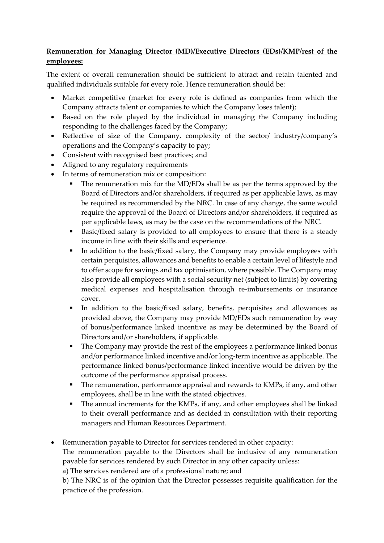# **Remuneration for Managing Director (MD)/Executive Directors (EDs)/KMP/rest of the employees:**

The extent of overall remuneration should be sufficient to attract and retain talented and qualified individuals suitable for every role. Hence remuneration should be:

- Market competitive (market for every role is defined as companies from which the Company attracts talent or companies to which the Company loses talent);
- Based on the role played by the individual in managing the Company including responding to the challenges faced by the Company;
- Reflective of size of the Company, complexity of the sector/ industry/company's operations and the Company's capacity to pay;
- Consistent with recognised best practices; and
- Aligned to any regulatory requirements
- In terms of remuneration mix or composition:
	- The remuneration mix for the MD/EDs shall be as per the terms approved by the Board of Directors and/or shareholders, if required as per applicable laws, as may be required as recommended by the NRC. In case of any change, the same would require the approval of the Board of Directors and/or shareholders, if required as per applicable laws, as may be the case on the recommendations of the NRC.
	- Basic/fixed salary is provided to all employees to ensure that there is a steady income in line with their skills and experience.
	- In addition to the basic/fixed salary, the Company may provide employees with certain perquisites, allowances and benefits to enable a certain level of lifestyle and to offer scope for savings and tax optimisation, where possible. The Company may also provide all employees with a social security net (subject to limits) by covering medical expenses and hospitalisation through re-imbursements or insurance cover.
	- In addition to the basic/fixed salary, benefits, perquisites and allowances as provided above, the Company may provide MD/EDs such remuneration by way of bonus/performance linked incentive as may be determined by the Board of Directors and/or shareholders, if applicable.
	- The Company may provide the rest of the employees a performance linked bonus and/or performance linked incentive and/or long-term incentive as applicable. The performance linked bonus/performance linked incentive would be driven by the outcome of the performance appraisal process.
	- The remuneration, performance appraisal and rewards to KMPs, if any, and other employees, shall be in line with the stated objectives.
	- The annual increments for the KMPs, if any, and other employees shall be linked to their overall performance and as decided in consultation with their reporting managers and Human Resources Department.
- Remuneration payable to Director for services rendered in other capacity:

The remuneration payable to the Directors shall be inclusive of any remuneration payable for services rendered by such Director in any other capacity unless:

a) The services rendered are of a professional nature; and

b) The NRC is of the opinion that the Director possesses requisite qualification for the practice of the profession.